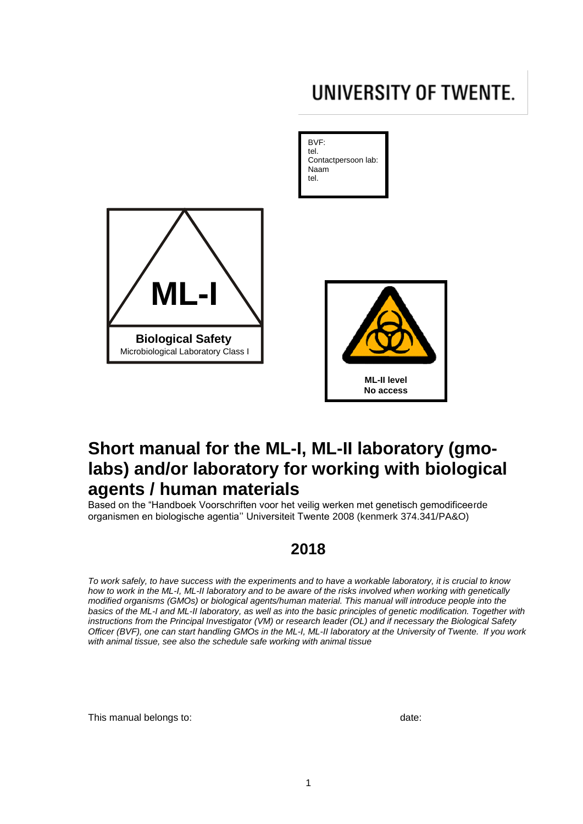# <span id="page-0-0"></span>UNIVERSITY OF TWENTE.

**No access**



# **Short manual for the ML-I, ML-II laboratory (gmolabs) and/or laboratory for working with biological agents / human materials**

Based on the "Handboek Voorschriften voor het veilig werken met genetisch gemodificeerde organismen en biologische agentia'' Universiteit Twente 2008 (kenmerk 374.341/PA&O)

# **2018**

*To work safely, to have success with the experiments and to have a workable laboratory, it is crucial to know how to work in the ML-I, ML-II laboratory and to be aware of the risks involved when working with genetically modified organisms (GMOs) or biological agents/human material. This manual will introduce people into the basics of the ML-I and ML-II laboratory, as well as into the basic principles of genetic modification. Together with instructions from the Principal Investigator (VM) or research leader (OL) and if necessary the Biological Safety Officer (BVF), one can start handling GMOs in the ML-I, ML-II laboratory at the University of Twente. If you work with animal tissue, see also the schedule safe working with animal tissue*

This manual belongs to: date: date: date: date: date: date: date: date: date: date: date: date: date: date: date: date: date:  $\frac{d}{dt}$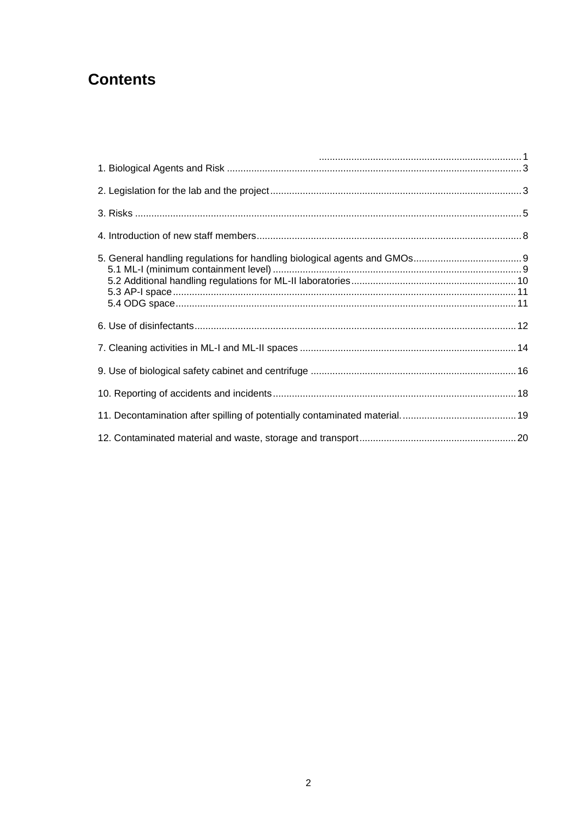# **Contents**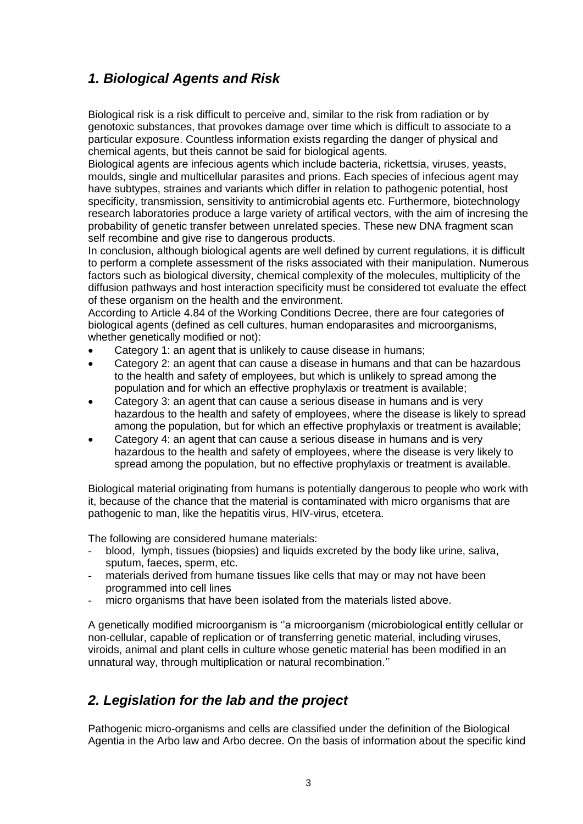# <span id="page-2-0"></span>*1. Biological Agents and Risk*

Biological risk is a risk difficult to perceive and, similar to the risk from radiation or by genotoxic substances, that provokes damage over time which is difficult to associate to a particular exposure. Countless information exists regarding the danger of physical and chemical agents, but theis cannot be said for biological agents.

Biological agents are infecious agents which include bacteria, rickettsia, viruses, yeasts, moulds, single and multicellular parasites and prions. Each species of infecious agent may have subtypes, straines and variants which differ in relation to pathogenic potential, host specificity, transmission, sensitivity to antimicrobial agents etc. Furthermore, biotechnology research laboratories produce a large variety of artifical vectors, with the aim of incresing the probability of genetic transfer between unrelated species. These new DNA fragment scan self recombine and give rise to dangerous products.

In conclusion, although biological agents are well defined by current regulations, it is difficult to perform a complete assessment of the risks associated with their manipulation. Numerous factors such as biological diversity, chemical complexity of the molecules, multiplicity of the diffusion pathways and host interaction specificity must be considered tot evaluate the effect of these organism on the health and the environment.

According to Article 4.84 of the Working Conditions Decree, there are four categories of biological agents (defined as cell cultures, human endoparasites and microorganisms, whether genetically modified or not):

- Category 1: an agent that is unlikely to cause disease in humans;
- Category 2: an agent that can cause a disease in humans and that can be hazardous to the health and safety of employees, but which is unlikely to spread among the population and for which an effective prophylaxis or treatment is available;
- Category 3: an agent that can cause a serious disease in humans and is very hazardous to the health and safety of employees, where the disease is likely to spread among the population, but for which an effective prophylaxis or treatment is available;
- Category 4: an agent that can cause a serious disease in humans and is very hazardous to the health and safety of employees, where the disease is very likely to spread among the population, but no effective prophylaxis or treatment is available.

Biological material originating from humans is potentially dangerous to people who work with it, because of the chance that the material is contaminated with micro organisms that are pathogenic to man, like the hepatitis virus, HIV-virus, etcetera.

The following are considered humane materials:

- blood, lymph, tissues (biopsies) and liquids excreted by the body like urine, saliva, sputum, faeces, sperm, etc.
- materials derived from humane tissues like cells that may or may not have been programmed into cell lines
- micro organisms that have been isolated from the materials listed above.

A genetically modified microorganism is ''a microorganism (microbiological entitly cellular or non-cellular, capable of replication or of transferring genetic material, including viruses, viroids, animal and plant cells in culture whose genetic material has been modified in an unnatural way, through multiplication or natural recombination.''

### <span id="page-2-1"></span>*2. Legislation for the lab and the project*

Pathogenic micro-organisms and cells are classified under the definition of the Biological Agentia in the Arbo law and Arbo decree. On the basis of information about the specific kind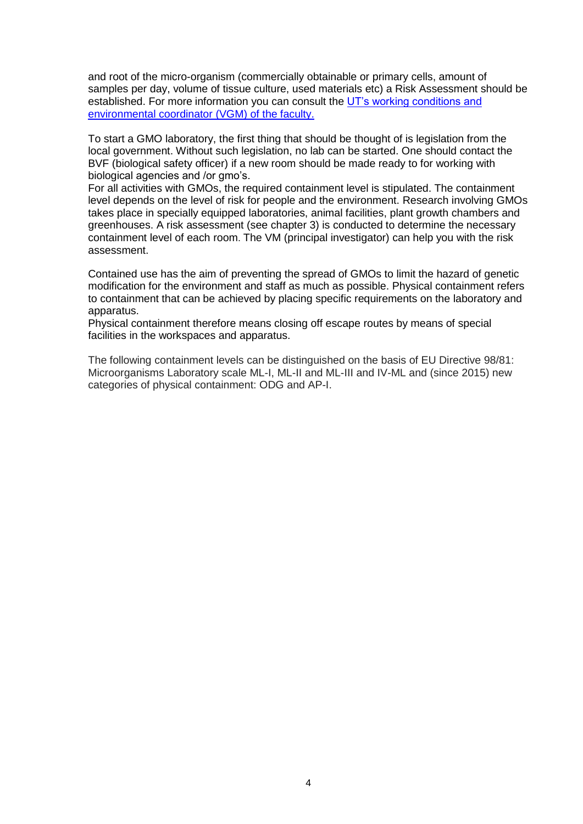and root of the micro-organism (commercially obtainable or primary cells, amount of samples per day, volume of tissue culture, used materials etc) a Risk Assessment should be established. For more information you can consult the UT's working conditions and [environmental coordinator \(VGM\) of the faculty.](https://www.utwente.nl/hr/en/health-safety-environment/organization-information/organization/hse-coordinators/)

To start a GMO laboratory, the first thing that should be thought of is legislation from the local government. Without such legislation, no lab can be started. One should contact the BVF (biological safety officer) if a new room should be made ready to for working with biological agencies and /or gmo's.

For all activities with GMOs, the required containment level is stipulated. The containment level depends on the level of risk for people and the environment. Research involving GMOs takes place in specially equipped laboratories, animal facilities, plant growth chambers and greenhouses. A risk assessment (see chapter 3) is conducted to determine the necessary containment level of each room. The VM (principal investigator) can help you with the risk assessment.

Contained use has the aim of preventing the spread of GMOs to limit the hazard of genetic modification for the environment and staff as much as possible. Physical containment refers to containment that can be achieved by placing specific requirements on the laboratory and apparatus.

Physical containment therefore means closing off escape routes by means of special facilities in the workspaces and apparatus.

The following containment levels can be distinguished on the basis of EU Directive 98/81: Microorganisms Laboratory scale ML-I, ML-II and ML-III and IV-ML and (since 2015) new categories of physical containment: ODG and AP-I.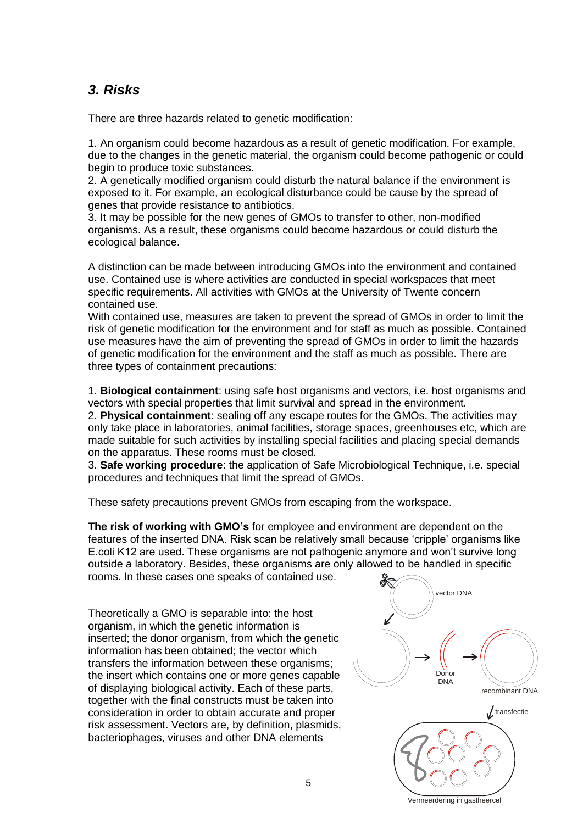# <span id="page-4-0"></span>*3. Risks*

There are three hazards related to genetic modification:

1. An organism could become hazardous as a result of genetic modification. For example, due to the changes in the genetic material, the organism could become pathogenic or could begin to produce toxic substances.

2. A genetically modified organism could disturb the natural balance if the environment is exposed to it. For example, an ecological disturbance could be cause by the spread of genes that provide resistance to antibiotics.

3. It may be possible for the new genes of GMOs to transfer to other, non-modified organisms. As a result, these organisms could become hazardous or could disturb the ecological balance.

A distinction can be made between introducing GMOs into the environment and contained use. Contained use is where activities are conducted in special workspaces that meet specific requirements. All activities with GMOs at the University of Twente concern contained use.

With contained use, measures are taken to prevent the spread of GMOs in order to limit the risk of genetic modification for the environment and for staff as much as possible. Contained use measures have the aim of preventing the spread of GMOs in order to limit the hazards of genetic modification for the environment and the staff as much as possible. There are three types of containment precautions:

1. **Biological containment**: using safe host organisms and vectors, i.e. host organisms and vectors with special properties that limit survival and spread in the environment.

2. **Physical containment**: sealing off any escape routes for the GMOs. The activities may only take place in laboratories, animal facilities, storage spaces, greenhouses etc, which are made suitable for such activities by installing special facilities and placing special demands on the apparatus. These rooms must be closed.

3. **Safe working procedure**: the application of Safe Microbiological Technique, i.e. special procedures and techniques that limit the spread of GMOs.

These safety precautions prevent GMOs from escaping from the workspace.

**The risk of working with GMO's** for employee and environment are dependent on the features of the inserted DNA. Risk scan be relatively small because 'cripple' organisms like E.coli K12 are used. These organisms are not pathogenic anymore and won't survive long outside a laboratory. Besides, these organisms are only allowed to be handled in specific

rooms. In these cases one speaks of contained use.

Theoretically a GMO is separable into: the host organism, in which the genetic information is inserted; the donor organism, from which the genetic information has been obtained; the vector which transfers the information between these organisms; the insert which contains one or more genes capable of displaying biological activity. Each of these parts, together with the final constructs must be taken into consideration in order to obtain accurate and proper risk assessment. Vectors are, by definition, plasmids, bacteriophages, viruses and other DNA elements



Vermeerdering in gastheercel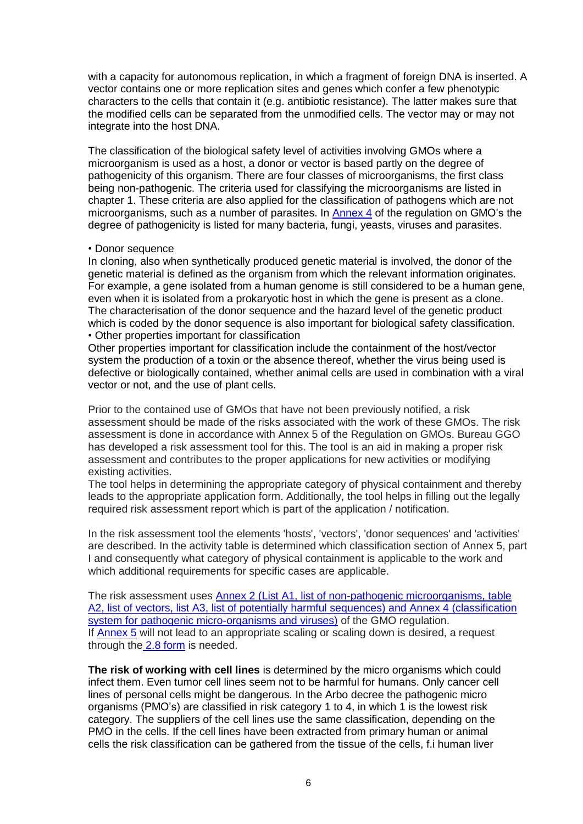with a capacity for autonomous replication, in which a fragment of foreign DNA is inserted. A vector contains one or more replication sites and genes which confer a few phenotypic characters to the cells that contain it (e.g. antibiotic resistance). The latter makes sure that the modified cells can be separated from the unmodified cells. The vector may or may not integrate into the host DNA.

The classification of the biological safety level of activities involving GMOs where a microorganism is used as a host, a donor or vector is based partly on the degree of pathogenicity of this organism. There are four classes of microorganisms, the first class being non-pathogenic. The criteria used for classifying the microorganisms are listed in chapter 1. These criteria are also applied for the classification of pathogens which are not microorganisms, such as a number of parasites. In [Annex 4](http://www.ggo-vergunningverlening.nl/Ingeperkt_gebruik/Risicobeoordeling/Hulpmiddelen_bij_de_risicobeoordeling/Officieuze_lijsten) of the regulation on GMO's the degree of pathogenicity is listed for many bacteria, fungi, yeasts, viruses and parasites.

#### • Donor sequence

In cloning, also when synthetically produced genetic material is involved, the donor of the genetic material is defined as the organism from which the relevant information originates. For example, a gene isolated from a human genome is still considered to be a human gene, even when it is isolated from a prokaryotic host in which the gene is present as a clone. The characterisation of the donor sequence and the hazard level of the genetic product which is coded by the donor sequence is also important for biological safety classification. • Other properties important for classification

Other properties important for classification include the containment of the host/vector system the production of a toxin or the absence thereof, whether the virus being used is defective or biologically contained, whether animal cells are used in combination with a viral vector or not, and the use of plant cells.

Prior to the contained use of GMOs that have not been previously notified, a risk assessment should be made of the risks associated with the work of these GMOs. The risk assessment is done in accordance with Annex 5 of the Regulation on GMOs. Bureau GGO has developed a risk assessment tool for this. The tool is an aid in making a proper risk assessment and contributes to the proper applications for new activities or modifying existing activities.

The tool helps in determining the appropriate category of physical containment and thereby leads to the appropriate application form. Additionally, the tool helps in filling out the legally required risk assessment report which is part of the application / notification.

In the risk assessment tool the elements 'hosts', 'vectors', 'donor sequences' and 'activities' are described. In the activity table is determined which classification section of Annex 5, part I and consequently what category of physical containment is applicable to the work and which additional requirements for specific cases are applicable.

The risk assessment uses [Annex 2 \(List A1, list of non-pathogenic microorganisms, table](http://www.ggo-vergunningverlening.nl/Ingeperkt_gebruik/Risicobeoordeling/Hulpmiddelen_bij_de_risicobeoordeling/Officieuze_lijsten)  [A2, list of vectors, list A3, list of potentially harmful sequences\) and Annex 4 \(classification](http://www.ggo-vergunningverlening.nl/Ingeperkt_gebruik/Risicobeoordeling/Hulpmiddelen_bij_de_risicobeoordeling/Officieuze_lijsten)  [system for pathogenic micro-organisms](http://www.ggo-vergunningverlening.nl/Ingeperkt_gebruik/Risicobeoordeling/Hulpmiddelen_bij_de_risicobeoordeling/Officieuze_lijsten) and viruses) of the GMO regulation. If [Annex 5](http://www.ggo-vergunningverlening.nl/Ingeperkt_gebruik/Risicobeoordeling/Uitvoering_risicobeoordeling_volgens_bijlage_5) will not lead to an appropriate scaling or scaling down is desired, a request through the [2.8 form](http://www.ggo-vergunningverlening.nl/Ingeperkt_gebruik/Procedures/Bijzondere_procedures/2_8_procedure) is needed.

**The risk of working with cell lines** is determined by the micro organisms which could infect them. Even tumor cell lines seem not to be harmful for humans. Only cancer cell lines of personal cells might be dangerous. In the Arbo decree the pathogenic micro organisms (PMO's) are classified in risk category 1 to 4, in which 1 is the lowest risk category. The suppliers of the cell lines use the same classification, depending on the PMO in the cells. If the cell lines have been extracted from primary human or animal cells the risk classification can be gathered from the tissue of the cells, f.i human liver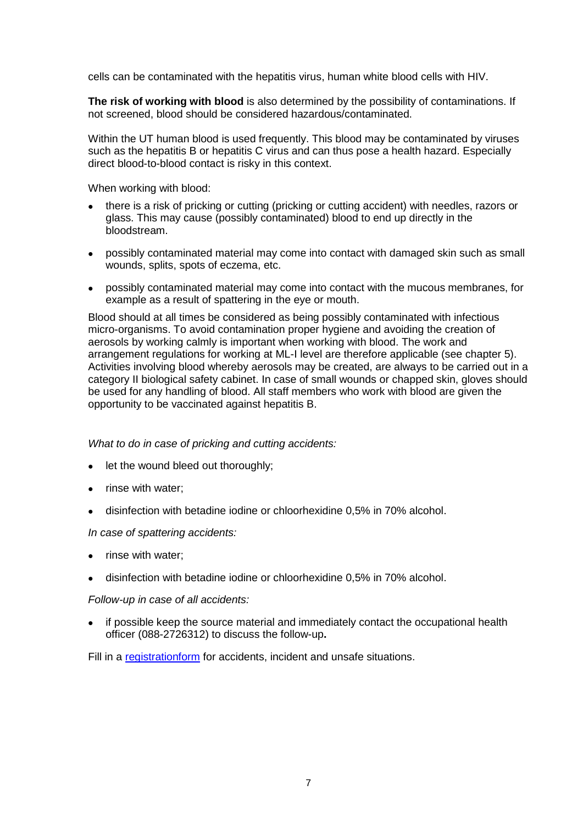cells can be contaminated with the hepatitis virus, human white blood cells with HIV.

**The risk of working with blood** is also determined by the possibility of contaminations. If not screened, blood should be considered hazardous/contaminated.

Within the UT human blood is used frequently. This blood may be contaminated by viruses such as the hepatitis B or hepatitis C virus and can thus pose a health hazard. Especially direct blood-to-blood contact is risky in this context.

When working with blood:

- there is a risk of pricking or cutting (pricking or cutting accident) with needles, razors or glass. This may cause (possibly contaminated) blood to end up directly in the bloodstream.
- possibly contaminated material may come into contact with damaged skin such as small wounds, splits, spots of eczema, etc.
- possibly contaminated material may come into contact with the mucous membranes, for example as a result of spattering in the eye or mouth.

Blood should at all times be considered as being possibly contaminated with infectious micro-organisms. To avoid contamination proper hygiene and avoiding the creation of aerosols by working calmly is important when working with blood. The work and arrangement regulations for working at ML-I level are therefore applicable (see chapter 5). Activities involving blood whereby aerosols may be created, are always to be carried out in a category II biological safety cabinet. In case of small wounds or chapped skin, gloves should be used for any handling of blood. All staff members who work with blood are given the opportunity to be vaccinated against hepatitis B.

*What to do in case of pricking and cutting accidents:*

- let the wound bleed out thoroughly;
- rinse with water:
- disinfection with betadine iodine or chloorhexidine 0,5% in 70% alcohol.

*In case of spattering accidents:*

- rinse with water;
- disinfection with betadine iodine or chloorhexidine 0,5% in 70% alcohol.

*Follow-up in case of all accidents:*

 if possible keep the source material and immediately contact the occupational health officer (088-2726312) to discuss the follow-up**.**

Fill in a [registrationform](https://www.utwente.nl/hr/formulieren_webapplicaties/ongevallenformulier.doc/) for accidents, incident and unsafe situations.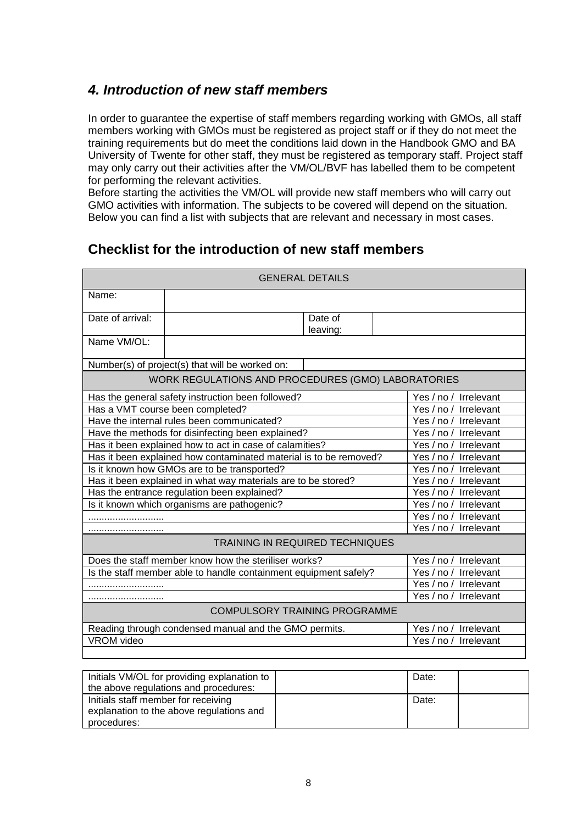### <span id="page-7-0"></span>*4. Introduction of new staff members*

In order to guarantee the expertise of staff members regarding working with GMOs, all staff members working with GMOs must be registered as project staff or if they do not meet the training requirements but do meet the conditions laid down in the Handbook GMO and BA University of Twente for other staff, they must be registered as temporary staff. Project staff may only carry out their activities after the VM/OL/BVF has labelled them to be competent for performing the relevant activities.

Before starting the activities the VM/OL will provide new staff members who will carry out GMO activities with information. The subjects to be covered will depend on the situation. Below you can find a list with subjects that are relevant and necessary in most cases.

# **Checklist for the introduction of new staff members**

| <b>GENERAL DETAILS</b>                                            |                                                      |                              |  |                              |  |
|-------------------------------------------------------------------|------------------------------------------------------|------------------------------|--|------------------------------|--|
| Name:                                                             |                                                      |                              |  |                              |  |
| Date of arrival:                                                  |                                                      | Date of                      |  |                              |  |
|                                                                   |                                                      | leaving:                     |  |                              |  |
| Name VM/OL:                                                       |                                                      |                              |  |                              |  |
|                                                                   | Number(s) of project(s) that will be worked on:      |                              |  |                              |  |
|                                                                   | WORK REGULATIONS AND PROCEDURES (GMO) LABORATORIES   |                              |  |                              |  |
|                                                                   | Has the general safety instruction been followed?    |                              |  | Irrelevant<br>Yes $/$ no $/$ |  |
|                                                                   | Has a VMT course been completed?                     |                              |  | Yes / no /<br>Irrelevant     |  |
|                                                                   | Have the internal rules been communicated?           |                              |  | Yes / no / Irrelevant        |  |
| Have the methods for disinfecting been explained?                 |                                                      | Yes $/$ no $/$<br>Irrelevant |  |                              |  |
| Has it been explained how to act in case of calamities?           |                                                      | Yes / no /<br>Irrelevant     |  |                              |  |
| Has it been explained how contaminated material is to be removed? |                                                      | Yes / no / Irrelevant        |  |                              |  |
| Is it known how GMOs are to be transported?                       |                                                      | Yes / no /<br>Irrelevant     |  |                              |  |
| Has it been explained in what way materials are to be stored?     |                                                      |                              |  | Yes / no / Irrelevant        |  |
| Has the entrance regulation been explained?                       | Yes / no / Irrelevant                                |                              |  |                              |  |
| Is it known which organisms are pathogenic?<br>Yes / no /         |                                                      |                              |  | Irrelevant                   |  |
|                                                                   |                                                      |                              |  | Yes / no / Irrelevant        |  |
|                                                                   |                                                      |                              |  | Yes / no /<br>Irrelevant     |  |
| TRAINING IN REQUIRED TECHNIQUES                                   |                                                      |                              |  |                              |  |
|                                                                   | Does the staff member know how the steriliser works? |                              |  | Irrelevant<br>Yes $/$ no $/$ |  |
| Is the staff member able to handle containment equipment safely?  |                                                      | Yes / no /<br>Irrelevant     |  |                              |  |
|                                                                   |                                                      | Yes $/$ no $/$<br>Irrelevant |  |                              |  |
|                                                                   |                                                      |                              |  | Yes / no / Irrelevant        |  |
| <b>COMPULSORY TRAINING PROGRAMME</b>                              |                                                      |                              |  |                              |  |
| Reading through condensed manual and the GMO permits.             |                                                      | Irrelevant<br>Yes $/$ no $/$ |  |                              |  |
| VROM video                                                        | Yes / no /<br>Irrelevant                             |                              |  |                              |  |
|                                                                   |                                                      |                              |  |                              |  |

| Initials VM/OL for providing explanation to<br>the above regulations and procedures: | Date: |  |
|--------------------------------------------------------------------------------------|-------|--|
| Initials staff member for receiving                                                  | Date: |  |
| explanation to the above regulations and                                             |       |  |
| procedures:                                                                          |       |  |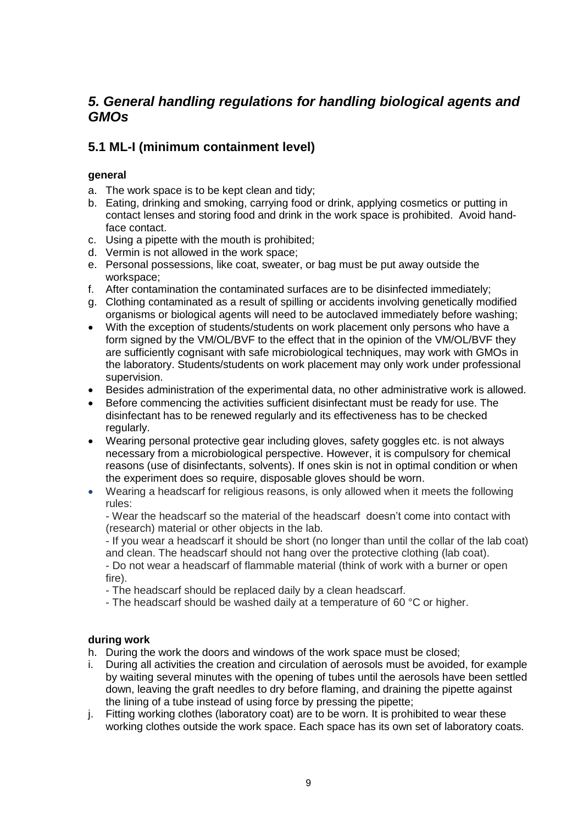### <span id="page-8-0"></span>*5. General handling regulations for handling biological agents and GMOs*

### <span id="page-8-1"></span>**5.1 ML-I (minimum containment level)**

### **general**

- a. The work space is to be kept clean and tidy;
- b. Eating, drinking and smoking, carrying food or drink, applying cosmetics or putting in contact lenses and storing food and drink in the work space is prohibited. Avoid handface contact.
- c. Using a pipette with the mouth is prohibited;
- d. Vermin is not allowed in the work space;
- e. Personal possessions, like coat, sweater, or bag must be put away outside the workspace;
- f. After contamination the contaminated surfaces are to be disinfected immediately;
- g. Clothing contaminated as a result of spilling or accidents involving genetically modified organisms or biological agents will need to be autoclaved immediately before washing;
- With the exception of students/students on work placement only persons who have a form signed by the VM/OL/BVF to the effect that in the opinion of the VM/OL/BVF they are sufficiently cognisant with safe microbiological techniques, may work with GMOs in the laboratory. Students/students on work placement may only work under professional supervision.
- Besides administration of the experimental data, no other administrative work is allowed.
- Before commencing the activities sufficient disinfectant must be ready for use. The disinfectant has to be renewed regularly and its effectiveness has to be checked regularly.
- Wearing personal protective gear including gloves, safety goggles etc. is not always necessary from a microbiological perspective. However, it is compulsory for chemical reasons (use of disinfectants, solvents). If ones skin is not in optimal condition or when the experiment does so require, disposable gloves should be worn.
- Wearing a headscarf for religious reasons, is only allowed when it meets the following rules:

- Wear the headscarf so the material of the headscarf doesn't come into contact with (research) material or other objects in the lab.

- If you wear a headscarf it should be short (no longer than until the collar of the lab coat) and clean. The headscarf should not hang over the protective clothing (lab coat).

- Do not wear a headscarf of flammable material (think of work with a burner or open fire).

- The headscarf should be replaced daily by a clean headscarf.

- The headscarf should be washed daily at a temperature of 60 °C or higher.

### **during work**

- h. During the work the doors and windows of the work space must be closed;
- i. During all activities the creation and circulation of aerosols must be avoided, for example by waiting several minutes with the opening of tubes until the aerosols have been settled down, leaving the graft needles to dry before flaming, and draining the pipette against the lining of a tube instead of using force by pressing the pipette;
- j. Fitting working clothes (laboratory coat) are to be worn. It is prohibited to wear these working clothes outside the work space. Each space has its own set of laboratory coats.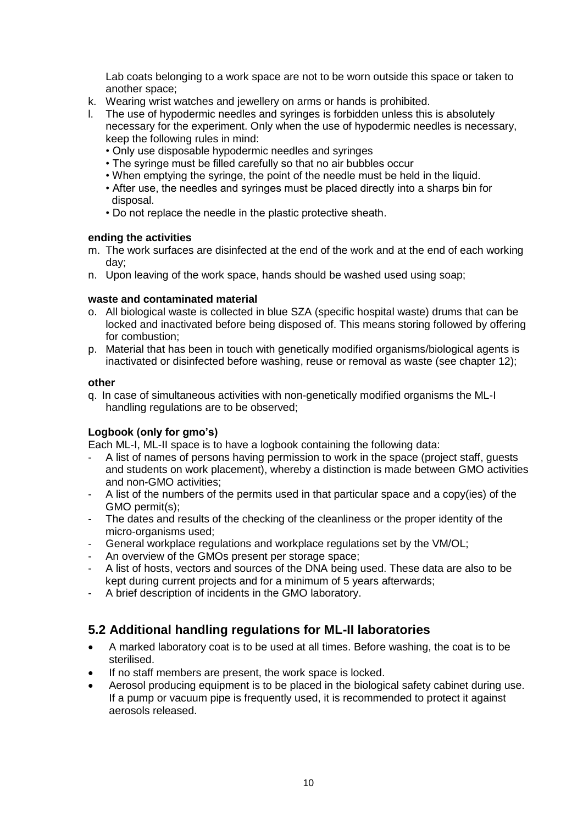Lab coats belonging to a work space are not to be worn outside this space or taken to another space;

- k. Wearing wrist watches and jewellery on arms or hands is prohibited.
- l. The use of hypodermic needles and syringes is forbidden unless this is absolutely necessary for the experiment. Only when the use of hypodermic needles is necessary, keep the following rules in mind:
	- Only use disposable hypodermic needles and syringes
	- The syringe must be filled carefully so that no air bubbles occur
	- When emptying the syringe, the point of the needle must be held in the liquid.
	- After use, the needles and syringes must be placed directly into a sharps bin for disposal.
	- Do not replace the needle in the plastic protective sheath.

#### **ending the activities**

- m. The work surfaces are disinfected at the end of the work and at the end of each working day;
- n. Upon leaving of the work space, hands should be washed used using soap;

#### **waste and contaminated material**

- o. All biological waste is collected in blue SZA (specific hospital waste) drums that can be locked and inactivated before being disposed of. This means storing followed by offering for combustion;
- p. Material that has been in touch with genetically modified organisms/biological agents is inactivated or disinfected before washing, reuse or removal as waste (see chapter 12);

#### **other**

q. In case of simultaneous activities with non-genetically modified organisms the ML-I handling regulations are to be observed;

#### **Logbook (only for gmo's)**

Each ML-I, ML-II space is to have a logbook containing the following data:

- A list of names of persons having permission to work in the space (project staff, guests and students on work placement), whereby a distinction is made between GMO activities and non-GMO activities;
- A list of the numbers of the permits used in that particular space and a copy(ies) of the GMO permit(s);
- The dates and results of the checking of the cleanliness or the proper identity of the micro-organisms used;
- General workplace regulations and workplace regulations set by the VM/OL;
- An overview of the GMOs present per storage space;
- A list of hosts, vectors and sources of the DNA being used. These data are also to be kept during current projects and for a minimum of 5 years afterwards;
- A brief description of incidents in the GMO laboratory.

### <span id="page-9-0"></span>**5.2 Additional handling regulations for ML-II laboratories**

- A marked laboratory coat is to be used at all times. Before washing, the coat is to be sterilised.
- If no staff members are present, the work space is locked.
- Aerosol producing equipment is to be placed in the biological safety cabinet during use. If a pump or vacuum pipe is frequently used, it is recommended to protect it against aerosols released.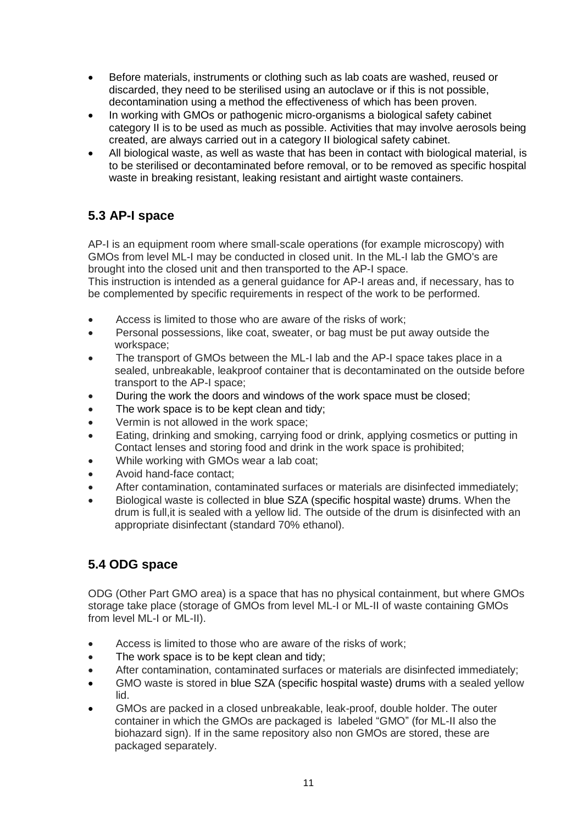- Before materials, instruments or clothing such as lab coats are washed, reused or discarded, they need to be sterilised using an autoclave or if this is not possible, decontamination using a method the effectiveness of which has been proven.
- In working with GMOs or pathogenic micro-organisms a biological safety cabinet category II is to be used as much as possible. Activities that may involve aerosols being created, are always carried out in a category II biological safety cabinet.
- All biological waste, as well as waste that has been in contact with biological material, is to be sterilised or decontaminated before removal, or to be removed as specific hospital waste in breaking resistant, leaking resistant and airtight waste containers.

# <span id="page-10-0"></span>**5.3 AP-I space**

AP-I is an equipment room where small-scale operations (for example microscopy) with GMOs from level ML-I may be conducted in closed unit. In the ML-I lab the GMO's are brought into the closed unit and then transported to the AP-I space.

This instruction is intended as a general guidance for AP-I areas and, if necessary, has to be complemented by specific requirements in respect of the work to be performed.

- Access is limited to those who are aware of the risks of work;
- Personal possessions, like coat, sweater, or bag must be put away outside the workspace;
- The transport of GMOs between the ML-I lab and the AP-I space takes place in a sealed, unbreakable, leakproof container that is decontaminated on the outside before transport to the AP-I space;
- During the work the doors and windows of the work space must be closed;
- The work space is to be kept clean and tidy;
- Vermin is not allowed in the work space;
- **Eating, drinking and smoking, carrying food or drink, applying cosmetics or putting in** Contact lenses and storing food and drink in the work space is prohibited;
- While working with GMOs wear a lab coat;
- Avoid hand-face contact;
- After contamination, contaminated surfaces or materials are disinfected immediately;
- Biological waste is collected in blue SZA (specific hospital waste) drums. When the drum is full,it is sealed with a yellow lid. The outside of the drum is disinfected with an appropriate disinfectant (standard 70% ethanol).

### <span id="page-10-1"></span>**5.4 ODG space**

ODG (Other Part GMO area) is a space that has no physical containment, but where GMOs storage take place (storage of GMOs from level ML-I or ML-II of waste containing GMOs from level ML-I or ML-II).

- Access is limited to those who are aware of the risks of work;
- The work space is to be kept clean and tidy;
- After contamination, contaminated surfaces or materials are disinfected immediately;
- GMO waste is stored in blue SZA (specific hospital waste) drums with a sealed yellow lid.
- GMOs are packed in a closed unbreakable, leak-proof, double holder. The outer container in which the GMOs are packaged is labeled "GMO" (for ML-II also the biohazard sign). If in the same repository also non GMOs are stored, these are packaged separately.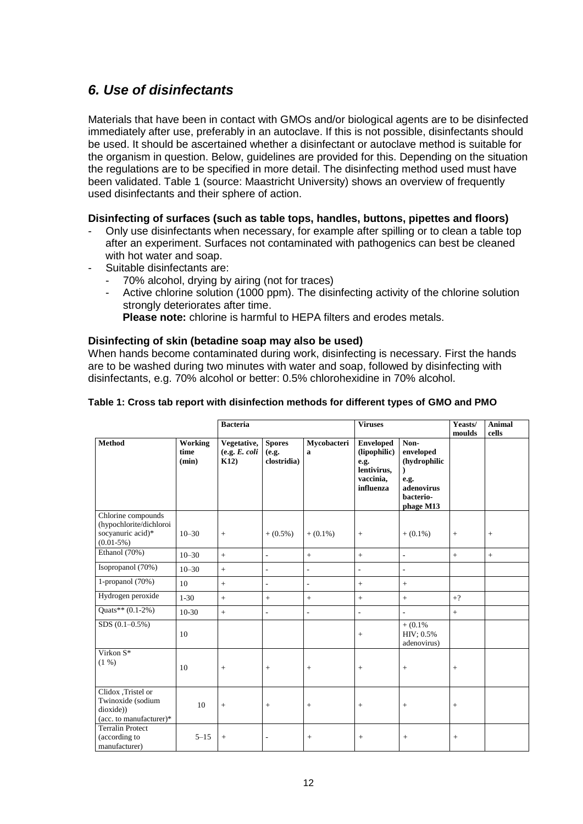### <span id="page-11-0"></span>*6. Use of disinfectants*

Materials that have been in contact with GMOs and/or biological agents are to be disinfected immediately after use, preferably in an autoclave. If this is not possible, disinfectants should be used. It should be ascertained whether a disinfectant or autoclave method is suitable for the organism in question. Below, guidelines are provided for this. Depending on the situation the regulations are to be specified in more detail. The disinfecting method used must have been validated. Table 1 (source: Maastricht University) shows an overview of frequently used disinfectants and their sphere of action.

### **Disinfecting of surfaces (such as table tops, handles, buttons, pipettes and floors)**

- Only use disinfectants when necessary, for example after spilling or to clean a table top after an experiment. Surfaces not contaminated with pathogenics can best be cleaned with hot water and soap.
- Suitable disinfectants are:
	- 70% alcohol, drying by airing (not for traces)
	- Active chlorine solution (1000 ppm). The disinfecting activity of the chlorine solution strongly deteriorates after time.

**Please note:** chlorine is harmful to HEPA filters and erodes metals.

#### **Disinfecting of skin (betadine soap may also be used)**

When hands become contaminated during work, disinfecting is necessary. First the hands are to be washed during two minutes with water and soap, followed by disinfecting with disinfectants, e.g. 70% alcohol or better: 0.5% chlorohexidine in 70% alcohol.

| Table 1: Cross tab report with disinfection methods for different types of GMO and PMO |  |
|----------------------------------------------------------------------------------------|--|
|----------------------------------------------------------------------------------------|--|

|                                                                                   |                          | <b>Bacteria</b>                      |                                       |                             | <b>Viruses</b>                                                                    |                                                                                   | Yeasts/<br>moulds | <b>Animal</b><br>cells |
|-----------------------------------------------------------------------------------|--------------------------|--------------------------------------|---------------------------------------|-----------------------------|-----------------------------------------------------------------------------------|-----------------------------------------------------------------------------------|-------------------|------------------------|
| <b>Method</b>                                                                     | Working<br>time<br>(min) | Vegetative,<br>(e.g. E. coli<br>K12) | <b>Spores</b><br>(e.g.<br>clostridia) | Mycobacteri<br>$\mathbf{a}$ | <b>Enveloped</b><br>(lipophilic)<br>e.g.<br>lentivirus,<br>vaccinia,<br>influenza | Non-<br>enveloped<br>(hydrophilic<br>e.g.<br>adenovirus<br>bacterio-<br>phage M13 |                   |                        |
| Chlorine compounds<br>(hypochlorite/dichloroi<br>socyanuric acid)*<br>$(0.01-5%)$ | $10 - 30$                | $^{+}$                               | $+ (0.5\%)$                           | $+ (0.1\%)$                 | $+$                                                                               | $+$ (0.1%)                                                                        | $+$               | $^{+}$                 |
| Ethanol (70%)                                                                     | $10 - 30$                | $+$                                  | ÷,                                    | $\ddot{}$                   | $+$                                                                               | $\overline{\phantom{a}}$                                                          | $+$               | $+$                    |
| Isopropanol (70%)                                                                 | $10 - 30$                | $\qquad \qquad +$                    | ÷,                                    | $\sim$                      | L.                                                                                | $\overline{\phantom{a}}$                                                          |                   |                        |
| 1-propanol $(70%)$                                                                | 10                       | $^{+}$                               | ÷,                                    | $\overline{\phantom{a}}$    | $^{+}$                                                                            | $\pm$                                                                             |                   |                        |
| Hydrogen peroxide                                                                 | $1 - 30$                 | $+$                                  | $+$                                   | $\pm$                       | $+$                                                                               | $+$                                                                               | $+?$              |                        |
| Quats** $(0.1-2\%)$                                                               | $10-30$                  | $^{+}$                               | ÷,                                    | $\overline{\phantom{a}}$    | ÷,                                                                                | $\overline{\phantom{a}}$                                                          | $\, +$            |                        |
| $SDS(0.1 - 0.5\%)$                                                                | 10                       |                                      |                                       |                             | $+$                                                                               | $+$ (0.1%)<br>HIV; 0.5%<br>adenovirus)                                            |                   |                        |
| Virkon S*<br>(1, 96)                                                              | 10                       | $^{+}$                               | $+$                                   | $+$                         | $+$                                                                               | $\boldsymbol{+}$                                                                  | $+$               |                        |
| Clidox , Tristel or<br>Twinoxide (sodium<br>dioxide))<br>(acc. to manufacturer)*  | 10                       | $^{+}$                               | $+$                                   | $+$                         | $+$                                                                               | $\pm$                                                                             | $+$               |                        |
| <b>Terralin Protect</b><br>(according to<br>manufacturer)                         | $5 - 15$                 | $^{+}$                               |                                       | $^{+}$                      | $^{+}$                                                                            | $\! + \!\!\!\!$                                                                   | $^+$              |                        |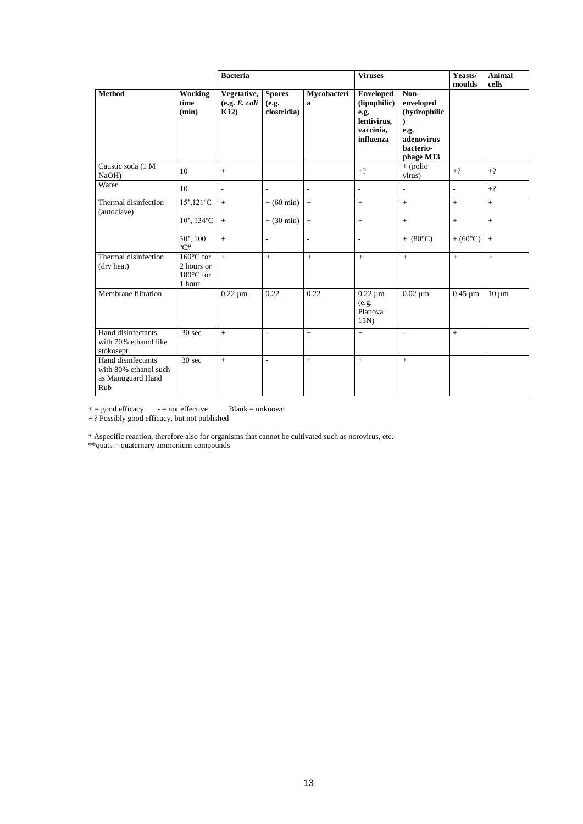|                                                                         |                                                                    | <b>Bacteria</b>                      |                                       | <b>Viruses</b>              |                                                                                   | Yeasts/<br>moulds                                                                 | <b>Animal</b><br>cells   |                   |
|-------------------------------------------------------------------------|--------------------------------------------------------------------|--------------------------------------|---------------------------------------|-----------------------------|-----------------------------------------------------------------------------------|-----------------------------------------------------------------------------------|--------------------------|-------------------|
| <b>Method</b>                                                           | Working<br>time<br>(min)                                           | Vegetative,<br>(e.g. E. coli<br>K12) | <b>Spores</b><br>(e.g.<br>clostridia) | Mycobacteri<br>$\mathbf{a}$ | <b>Enveloped</b><br>(lipophilic)<br>e.g.<br>lentivirus,<br>vaccinia,<br>influenza | Non-<br>enveloped<br>(hydrophilic<br>e.g.<br>adenovirus<br>bacterio-<br>phage M13 |                          |                   |
| Caustic soda (1 M<br>NaOH)                                              | 10                                                                 | $^{+}$                               |                                       |                             | $+?$                                                                              | $+$ (polio<br>virus)                                                              | $+?$                     | $+?$              |
| Water                                                                   | 10                                                                 | $\overline{a}$                       | $\overline{\phantom{a}}$              | $\overline{a}$              | L,                                                                                | $\frac{1}{2}$                                                                     | $\overline{\phantom{a}}$ | $+?$              |
| Thermal disinfection<br>(autoclave)                                     | $15'$ , $121^{\circ}$ C<br>$10'$ , $134^{\circ}$ C                 | $\qquad \qquad +$<br>$^{+}$          | $+ (60 \text{ min})$<br>$+$ (30 min)  | $\pm$<br>$\, +$             | $^{+}$<br>$^{+}$                                                                  | $\pm$<br>$+$                                                                      | $+$<br>$^{+}$            | $+$<br>$^{+}$     |
|                                                                         | 30', 100<br>${}^{\circ}C#$                                         | $^{+}$                               | $\overline{a}$                        | ÷,                          | ÷,                                                                                | $+ (80^{\circ}C)$                                                                 | $+ (60^{\circ}C)$        | $\qquad \qquad +$ |
| Thermal disinfection<br>(dry heat)                                      | $160^{\circ}$ C for<br>2 hours or<br>$180^{\circ}$ C for<br>1 hour | $+$                                  | $+$                                   | $+$                         | $+$                                                                               | $+$                                                                               | $+$                      | $\qquad \qquad +$ |
| Membrane filtration                                                     |                                                                    | $\overline{0.22}$ µm                 | 0.22                                  | 0.22                        | $0.22 \mu m$<br>(e.g.<br>Planova<br>15N                                           | $0.02 \mu m$                                                                      | $0.45 \mu m$             | $10 \mu m$        |
| Hand disinfectants<br>with 70% ethanol like<br>stokosept                | 30 <sub>sec</sub>                                                  | $\ddot{}$                            | $\overline{\phantom{a}}$              | $^{+}$                      | $+$                                                                               | $\overline{\phantom{a}}$                                                          | $+$                      |                   |
| Hand disinfectants<br>with 80% ethanol such<br>as Manuguard Hand<br>Rub | 30 sec                                                             | $+$                                  | $\sim$                                | $+$                         | $+$                                                                               | $+$                                                                               |                          |                   |

 $+=$  good efficacy  $-$  = not effective Blank = unknown

*+?* Possibly good efficacy, but not published

\* Aspecific reaction, therefore also for organisms that cannot be cultivated such as norovirus, etc.

\*\*quats = quaternary ammonium compounds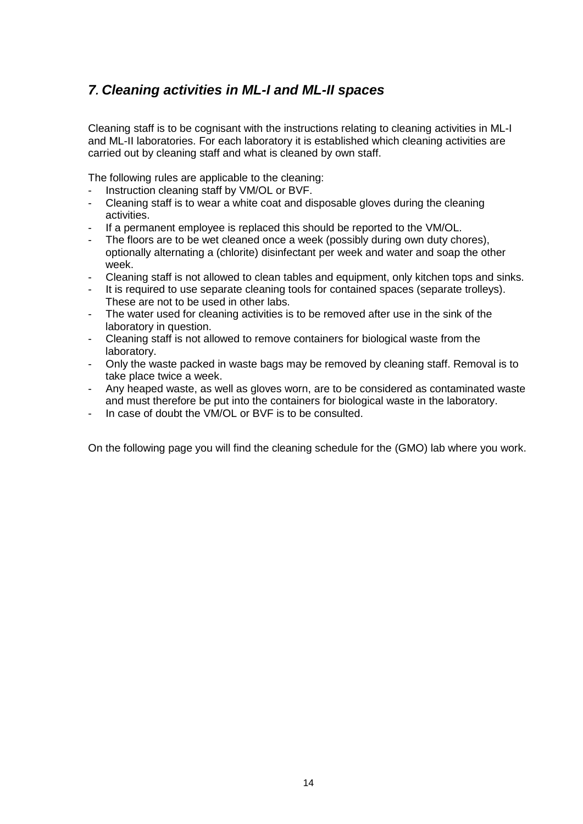# <span id="page-13-0"></span>*7. Cleaning activities in ML-I and ML-II spaces*

Cleaning staff is to be cognisant with the instructions relating to cleaning activities in ML-I and ML-II laboratories. For each laboratory it is established which cleaning activities are carried out by cleaning staff and what is cleaned by own staff.

The following rules are applicable to the cleaning:

- Instruction cleaning staff by VM/OL or BVF.
- Cleaning staff is to wear a white coat and disposable gloves during the cleaning activities.
- If a permanent employee is replaced this should be reported to the VM/OL.
- The floors are to be wet cleaned once a week (possibly during own duty chores), optionally alternating a (chlorite) disinfectant per week and water and soap the other week.
- Cleaning staff is not allowed to clean tables and equipment, only kitchen tops and sinks.
- It is required to use separate cleaning tools for contained spaces (separate trolleys). These are not to be used in other labs.
- The water used for cleaning activities is to be removed after use in the sink of the laboratory in question.
- Cleaning staff is not allowed to remove containers for biological waste from the laboratory.
- Only the waste packed in waste bags may be removed by cleaning staff. Removal is to take place twice a week.
- Any heaped waste, as well as gloves worn, are to be considered as contaminated waste and must therefore be put into the containers for biological waste in the laboratory.
- In case of doubt the VM/OL or BVF is to be consulted.

On the following page you will find the cleaning schedule for the (GMO) lab where you work.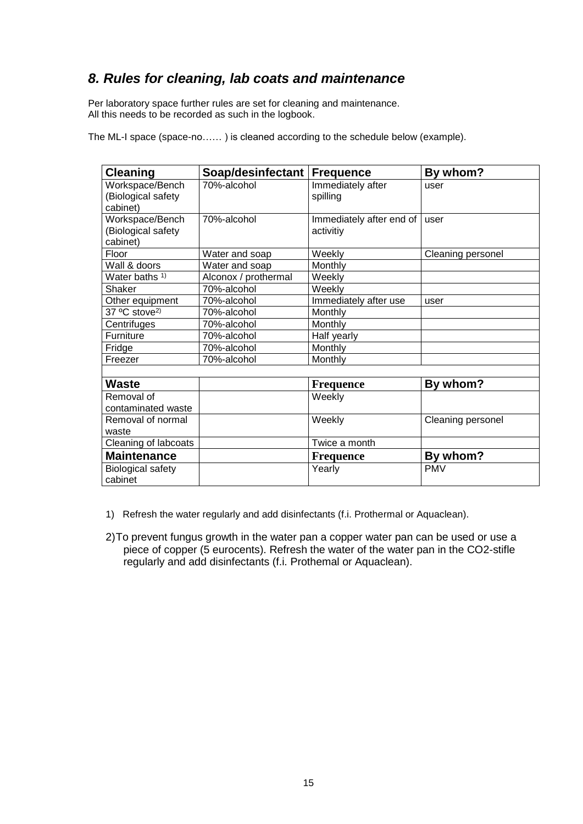### *8. Rules for cleaning, lab coats and maintenance*

Per laboratory space further rules are set for cleaning and maintenance. All this needs to be recorded as such in the logbook.

The ML-I space (space-no…… ) is cleaned according to the schedule below (example).

| <b>Cleaning</b>                                   | Soap/desinfectant    | <b>Frequence</b>                      | By whom?          |
|---------------------------------------------------|----------------------|---------------------------------------|-------------------|
| Workspace/Bench<br>(Biological safety<br>cabinet) | 70%-alcohol          | Immediately after<br>spilling         | user              |
| Workspace/Bench<br>(Biological safety<br>cabinet) | 70%-alcohol          | Immediately after end of<br>activitiy | user              |
| Floor                                             | Water and soap       | Weekly                                | Cleaning personel |
| Wall & doors                                      | Water and soap       | Monthly                               |                   |
| Water baths <sup>1)</sup>                         | Alconox / prothermal | Weekly                                |                   |
| Shaker                                            | 70%-alcohol          | Weekly                                |                   |
| Other equipment                                   | 70%-alcohol          | Immediately after use                 | user              |
| 37 °C stove <sup>2)</sup>                         | 70%-alcohol          | Monthly                               |                   |
| Centrifuges                                       | 70%-alcohol          | Monthly                               |                   |
| Furniture                                         | 70%-alcohol          | Half yearly                           |                   |
| Fridge                                            | 70%-alcohol          | Monthly                               |                   |
| Freezer                                           | 70%-alcohol          | Monthly                               |                   |
|                                                   |                      |                                       |                   |
| <b>Waste</b>                                      |                      | <b>Frequence</b>                      | By whom?          |
| Removal of                                        |                      | Weekly                                |                   |
| contaminated waste                                |                      |                                       |                   |
| Removal of normal                                 |                      | Weekly                                | Cleaning personel |
| waste                                             |                      |                                       |                   |
| Cleaning of labcoats                              |                      | Twice a month                         |                   |
| <b>Maintenance</b>                                |                      | <b>Frequence</b>                      | By whom?          |
| <b>Biological safety</b>                          |                      | Yearly                                | <b>PMV</b>        |
| cabinet                                           |                      |                                       |                   |

1) Refresh the water regularly and add disinfectants (f.i. Prothermal or Aquaclean).

2)To prevent fungus growth in the water pan a copper water pan can be used or use a piece of copper (5 eurocents). Refresh the water of the water pan in the CO2-stifle regularly and add disinfectants (f.i. Prothemal or Aquaclean).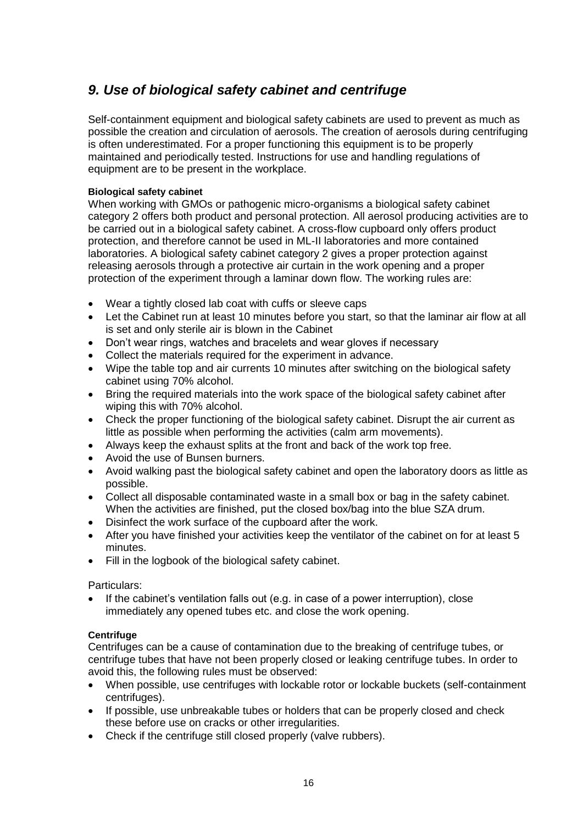# <span id="page-15-0"></span>*9. Use of biological safety cabinet and centrifuge*

Self-containment equipment and biological safety cabinets are used to prevent as much as possible the creation and circulation of aerosols. The creation of aerosols during centrifuging is often underestimated. For a proper functioning this equipment is to be properly maintained and periodically tested. Instructions for use and handling regulations of equipment are to be present in the workplace.

### **Biological safety cabinet**

When working with GMOs or pathogenic micro-organisms a biological safety cabinet category 2 offers both product and personal protection. All aerosol producing activities are to be carried out in a biological safety cabinet. A cross-flow cupboard only offers product protection, and therefore cannot be used in ML-II laboratories and more contained laboratories. A biological safety cabinet category 2 gives a proper protection against releasing aerosols through a protective air curtain in the work opening and a proper protection of the experiment through a laminar down flow. The working rules are:

- Wear a tightly closed lab coat with cuffs or sleeve caps
- Let the Cabinet run at least 10 minutes before you start, so that the laminar air flow at all is set and only sterile air is blown in the Cabinet
- Don't wear rings, watches and bracelets and wear gloves if necessary
- Collect the materials required for the experiment in advance.
- Wipe the table top and air currents 10 minutes after switching on the biological safety cabinet using 70% alcohol.
- Bring the required materials into the work space of the biological safety cabinet after wiping this with 70% alcohol.
- Check the proper functioning of the biological safety cabinet. Disrupt the air current as little as possible when performing the activities (calm arm movements).
- Always keep the exhaust splits at the front and back of the work top free.
- Avoid the use of Bunsen burners.
- Avoid walking past the biological safety cabinet and open the laboratory doors as little as possible.
- Collect all disposable contaminated waste in a small box or bag in the safety cabinet. When the activities are finished, put the closed box/bag into the blue SZA drum.
- Disinfect the work surface of the cupboard after the work.
- After you have finished your activities keep the ventilator of the cabinet on for at least 5 minutes.
- Fill in the logbook of the biological safety cabinet.

### Particulars:

 If the cabinet's ventilation falls out (e.g. in case of a power interruption), close immediately any opened tubes etc. and close the work opening.

### **Centrifuge**

Centrifuges can be a cause of contamination due to the breaking of centrifuge tubes, or centrifuge tubes that have not been properly closed or leaking centrifuge tubes. In order to avoid this, the following rules must be observed:

- When possible, use centrifuges with lockable rotor or lockable buckets (self-containment centrifuges).
- If possible, use unbreakable tubes or holders that can be properly closed and check these before use on cracks or other irregularities.
- Check if the centrifuge still closed properly (valve rubbers).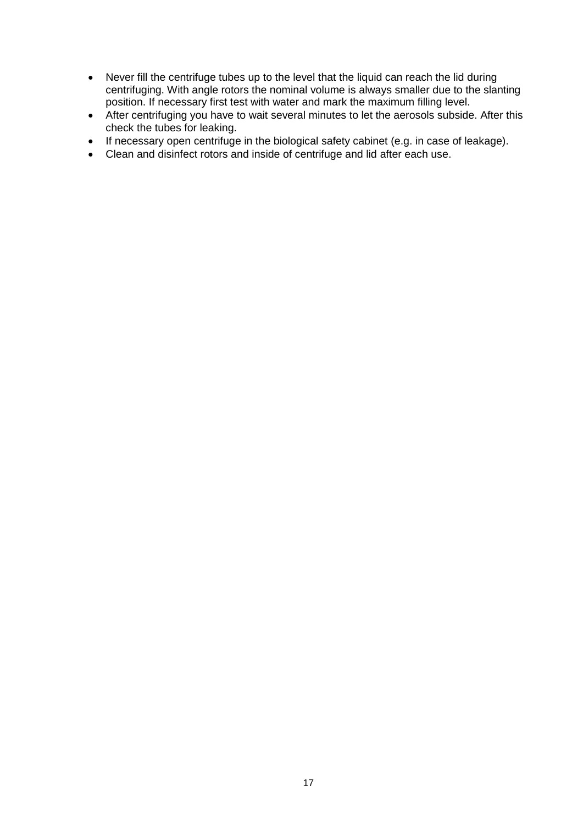- Never fill the centrifuge tubes up to the level that the liquid can reach the lid during centrifuging. With angle rotors the nominal volume is always smaller due to the slanting position. If necessary first test with water and mark the maximum filling level.
- After centrifuging you have to wait several minutes to let the aerosols subside. After this check the tubes for leaking.
- If necessary open centrifuge in the biological safety cabinet (e.g. in case of leakage).
- Clean and disinfect rotors and inside of centrifuge and lid after each use.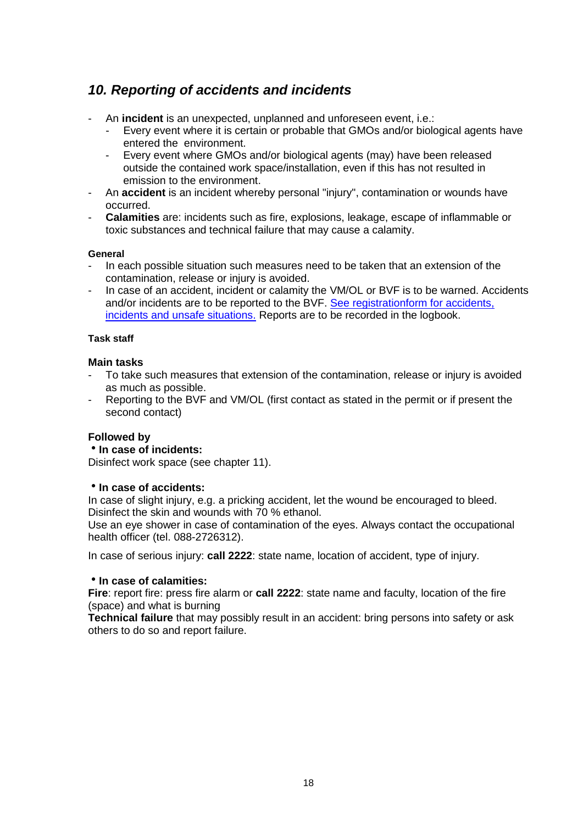# <span id="page-17-0"></span>*10. Reporting of accidents and incidents*

- An **incident** is an unexpected, unplanned and unforeseen event, i.e.:
	- Every event where it is certain or probable that GMOs and/or biological agents have entered the environment.
	- Every event where GMOs and/or biological agents (may) have been released outside the contained work space/installation, even if this has not resulted in emission to the environment.
- An **accident** is an incident whereby personal "injury", contamination or wounds have occurred.
- **Calamities** are: incidents such as fire, explosions, leakage, escape of inflammable or toxic substances and technical failure that may cause a calamity.

#### **General**

- In each possible situation such measures need to be taken that an extension of the contamination, release or injury is avoided.
- In case of an accident, incident or calamity the VM/OL or BVF is to be warned. Accidents and/or incidents are to be reported to the BVF. [See registrationform for accidents,](https://www.utwente.nl/hr/formulieren_webapplicaties/ongevallenformulier.doc/)  [incidents and unsafe situations.](https://www.utwente.nl/hr/formulieren_webapplicaties/ongevallenformulier.doc/) Reports are to be recorded in the logbook.

#### **Task staff**

### **Main tasks**

- To take such measures that extension of the contamination, release or injury is avoided as much as possible.
- Reporting to the BVF and VM/OL (first contact as stated in the permit or if present the second contact)

### **Followed by**

### **In case of incidents:**

Disinfect work space (see chapter 11).

### **In case of accidents:**

In case of slight injury, e.g. a pricking accident, let the wound be encouraged to bleed. Disinfect the skin and wounds with 70 % ethanol.

Use an eye shower in case of contamination of the eyes. Always contact the occupational health officer (tel. 088-2726312).

In case of serious injury: **call 2222**: state name, location of accident, type of injury.

#### **In case of calamities:**

**Fire**: report fire: press fire alarm or **call 2222**: state name and faculty, location of the fire (space) and what is burning

**Technical failure** that may possibly result in an accident: bring persons into safety or ask others to do so and report failure.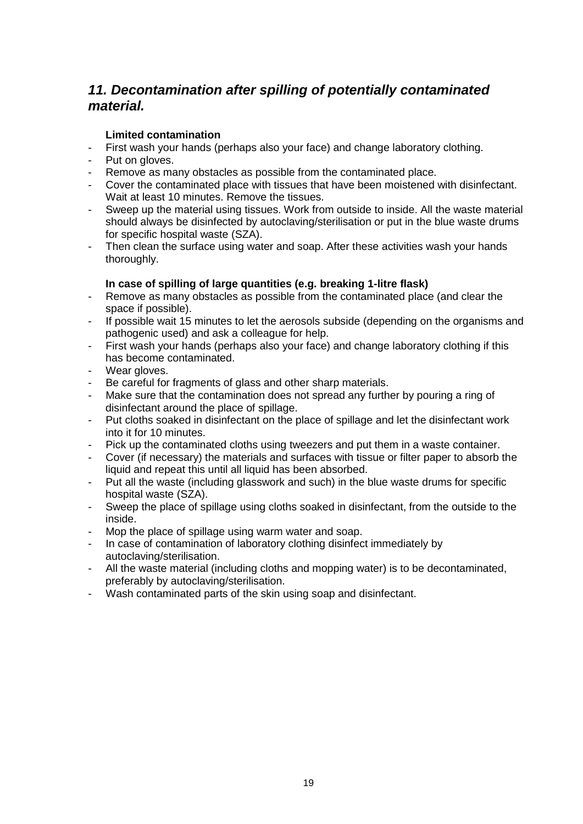## <span id="page-18-0"></span>*11. Decontamination after spilling of potentially contaminated material.*

### **Limited contamination**

- First wash your hands (perhaps also your face) and change laboratory clothing.
- Put on gloves.
- Remove as many obstacles as possible from the contaminated place.
- Cover the contaminated place with tissues that have been moistened with disinfectant. Wait at least 10 minutes. Remove the tissues.
- Sweep up the material using tissues. Work from outside to inside. All the waste material should always be disinfected by autoclaving/sterilisation or put in the blue waste drums for specific hospital waste (SZA).
- Then clean the surface using water and soap. After these activities wash your hands thoroughly.

### **In case of spilling of large quantities (e.g. breaking 1-litre flask)**

- Remove as many obstacles as possible from the contaminated place (and clear the space if possible).
- If possible wait 15 minutes to let the aerosols subside (depending on the organisms and pathogenic used) and ask a colleague for help.
- First wash your hands (perhaps also your face) and change laboratory clothing if this has become contaminated.
- Wear gloves.
- Be careful for fragments of glass and other sharp materials.
- Make sure that the contamination does not spread any further by pouring a ring of disinfectant around the place of spillage.
- Put cloths soaked in disinfectant on the place of spillage and let the disinfectant work into it for 10 minutes.
- Pick up the contaminated cloths using tweezers and put them in a waste container.
- Cover (if necessary) the materials and surfaces with tissue or filter paper to absorb the liquid and repeat this until all liquid has been absorbed.
- Put all the waste (including glasswork and such) in the blue waste drums for specific hospital waste (SZA).
- Sweep the place of spillage using cloths soaked in disinfectant, from the outside to the inside.
- Mop the place of spillage using warm water and soap.
- In case of contamination of laboratory clothing disinfect immediately by autoclaving/sterilisation.
- All the waste material (including cloths and mopping water) is to be decontaminated, preferably by autoclaving/sterilisation.
- Wash contaminated parts of the skin using soap and disinfectant.